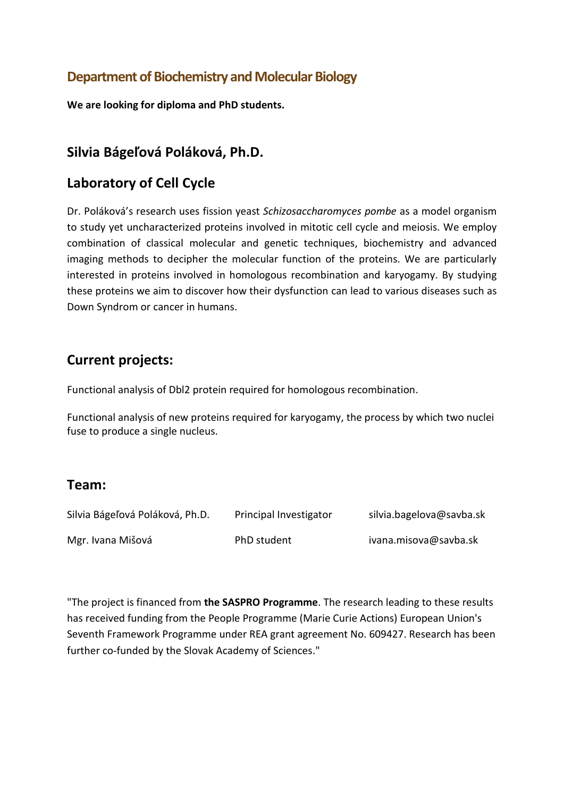# **Department of Biochemistry and Molecular Biology**

**We are looking for diploma and PhD students.**

### **Silvia Bágeľová Poláková, Ph.D.**

### **Laboratory of Cell Cycle**

Dr. Poláková's research uses fission yeast *Schizosaccharomyces pombe* as a model organism to study yet uncharacterized proteins involved in mitotic cell cycle and meiosis. We employ combination of classical molecular and genetic techniques, biochemistry and advanced imaging methods to decipher the molecular function of the proteins. We are particularly interested in proteins involved in homologous recombination and karyogamy. By studying these proteins we aim to discover how their dysfunction can lead to various diseases such as Down Syndrom or cancer in humans.

### **Current projects:**

Functional analysis of Dbl2 protein required for homologous recombination.

Functional analysis of new proteins required for karyogamy, the process by which two nuclei fuse to produce a single nucleus.

### **Team:**

| Silvia Bágeľová Poláková, Ph.D. | Principal Investigator | silvia.bagelova@savba.sk |
|---------------------------------|------------------------|--------------------------|
| Mgr. Ivana Mišová               | PhD student            | ivana.misova@savba.sk    |

"The project is financed from **the SASPRO Programme**. The research leading to these results has received funding from the People Programme (Marie Curie Actions) European Union's Seventh Framework Programme under REA grant agreement No. 609427. Research has been further co-funded by the Slovak Academy of Sciences."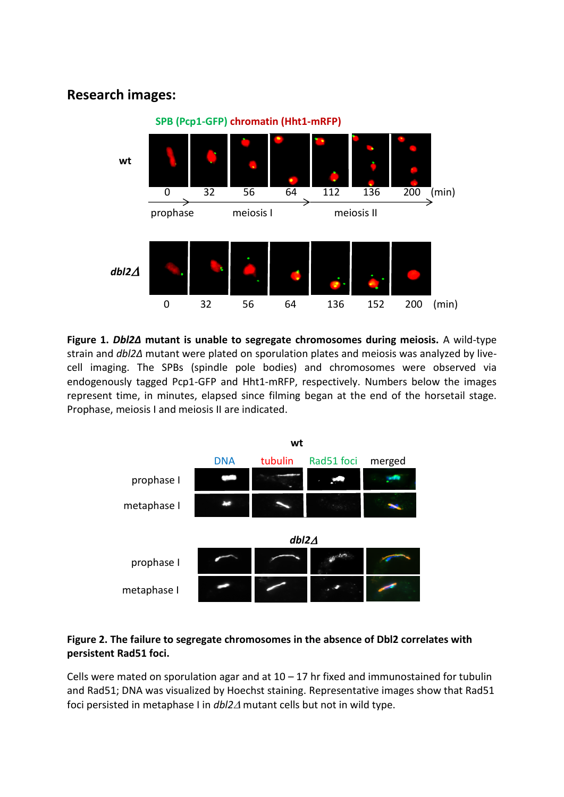## **Research images:**



**Figure 1.** *Dbl2Δ* **mutant is unable to segregate chromosomes during meiosis.** A wild-type strain and *dbl2Δ* mutant were plated on sporulation plates and meiosis was analyzed by livecell imaging. The SPBs (spindle pole bodies) and chromosomes were observed via endogenously tagged Pcp1-GFP and Hht1-mRFP, respectively. Numbers below the images represent time, in minutes, elapsed since filming began at the end of the horsetail stage. Prophase, meiosis I and meiosis II are indicated.



#### **Figure 2. The failure to segregate chromosomes in the absence of Dbl2 correlates with persistent Rad51 foci.**

Cells were mated on sporulation agar and at  $10 - 17$  hr fixed and immunostained for tubulin and Rad51; DNA was visualized by Hoechst staining. Representative images show that Rad51 foci persisted in metaphase I in *dbl2* mutant cells but not in wild type.